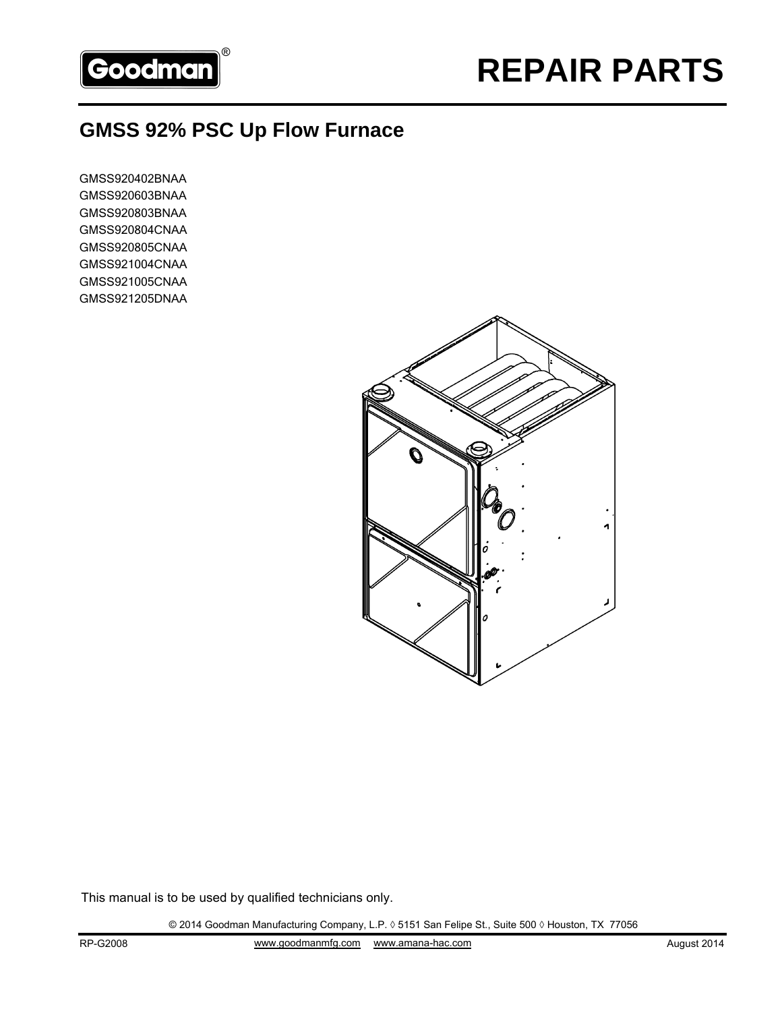

## **GMSS 92% PSC Up Flow Furnace**

GMSS920402BNAA GMSS920603BNAA GMSS920803BNAA GMSS920804CNAA GMSS920805CNAA GMSS921004CNAA GMSS921005CNAA GMSS921205DNAA



This manual is to be used by qualified technicians only.

© 2014 Goodman Manufacturing Company, L.P. ◊ 5151 San Felipe St., Suite 500 ◊ Houston, TX 77056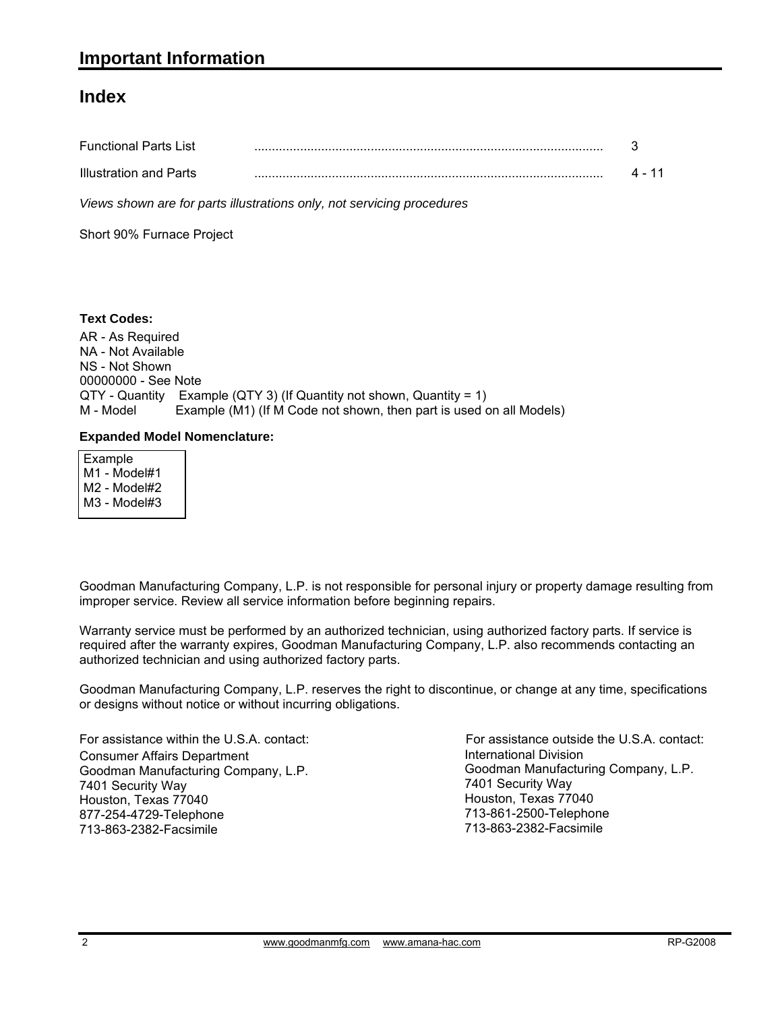#### **Index**

| <b>Functional Parts List</b> |  |
|------------------------------|--|
| Illustration and Parts       |  |

*Views shown are for parts illustrations only, not servicing procedures*

Short 90% Furnace Project

#### **Text Codes:**

AR - As Required NA - Not Available NS - Not Shown 00000000 - See Note QTY - Quantity Example (QTY 3) (If Quantity not shown, Quantity = 1) M - Model Example (M1) (If M Code not shown, then part is used on all Models)

#### **Expanded Model Nomenclature:**

 Example M1 - Model#1 M2 - Model#2 M3 - Model#3

Goodman Manufacturing Company, L.P. is not responsible for personal injury or property damage resulting from improper service. Review all service information before beginning repairs.

Warranty service must be performed by an authorized technician, using authorized factory parts. If service is required after the warranty expires, Goodman Manufacturing Company, L.P. also recommends contacting an authorized technician and using authorized factory parts.

Goodman Manufacturing Company, L.P. reserves the right to discontinue, or change at any time, specifications or designs without notice or without incurring obligations.

For assistance within the U.S.A. contact: Consumer Affairs Department Goodman Manufacturing Company, L.P. 7401 Security Way Houston, Texas 77040 877-254-4729-Telephone 713-863-2382-Facsimile

International Division International Division<br>Goodman Manufacturing Company, L.P. 7401 Security Way Houston, Texas 77040 713-861-2500-Telephone 713-863-2382-Facsimile For assistance outside the U.S.A. contact: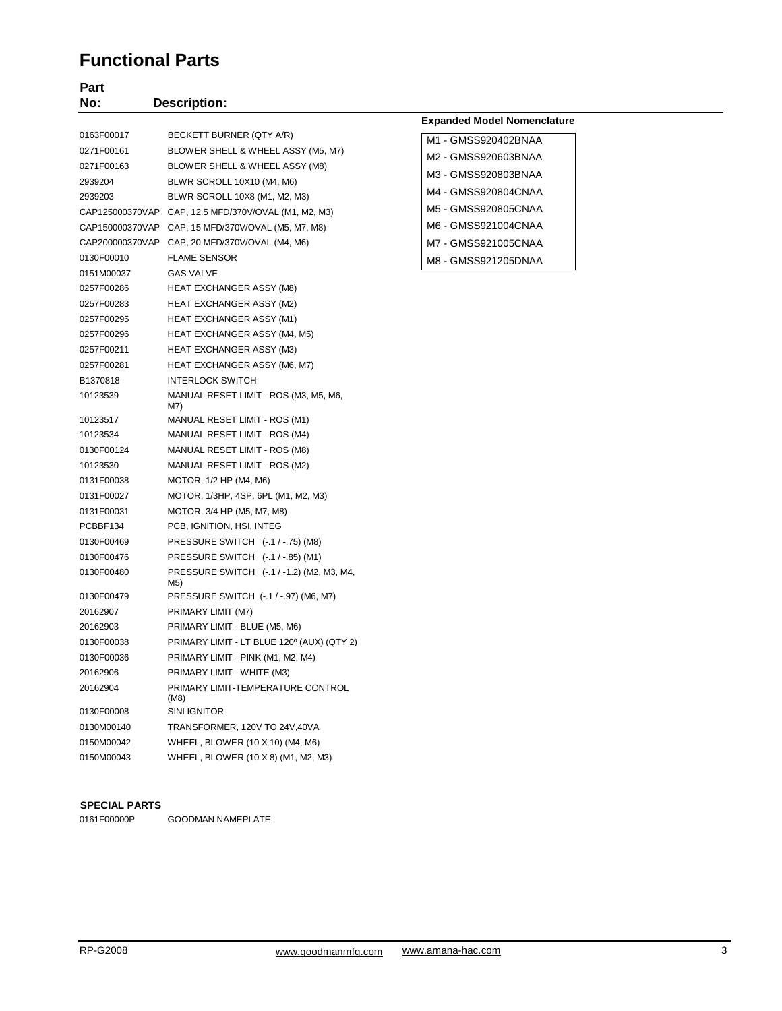### **Functional Parts**

| Part<br>No: | <b>Description:</b>                                  |                                    |
|-------------|------------------------------------------------------|------------------------------------|
|             |                                                      | <b>Expanded Model Nomenclature</b> |
| 0163F00017  | BECKETT BURNER (QTY A/R)                             | M1 - GMSS920402BNAA                |
| 0271F00161  | BLOWER SHELL & WHEEL ASSY (M5, M7)                   |                                    |
| 0271F00163  | BLOWER SHELL & WHEEL ASSY (M8)                       | M2 - GMSS920603BNAA                |
| 2939204     | BLWR SCROLL 10X10 (M4, M6)                           | M3 - GMSS920803BNAA                |
| 2939203     | BLWR SCROLL 10X8 (M1, M2, M3)                        | M4 - GMSS920804CNAA                |
|             | CAP125000370VAP CAP, 12.5 MFD/370V/OVAL (M1, M2, M3) | M5 - GMSS920805CNAA                |
|             | CAP150000370VAP CAP, 15 MFD/370V/OVAL (M5, M7, M8)   | M6 - GMSS921004CNAA                |
|             | CAP200000370VAP CAP, 20 MFD/370V/OVAL (M4, M6)       | M7 - GMSS921005CNAA                |
| 0130F00010  | <b>FLAME SENSOR</b>                                  | M8 - GMSS921205DNAA                |
| 0151M00037  | GAS VALVE                                            |                                    |
| 0257F00286  | HEAT EXCHANGER ASSY (M8)                             |                                    |
| 0257F00283  | HEAT EXCHANGER ASSY (M2)                             |                                    |
| 0257F00295  | HEAT EXCHANGER ASSY (M1)                             |                                    |
| 0257F00296  | HEAT EXCHANGER ASSY (M4, M5)                         |                                    |
| 0257F00211  | HEAT EXCHANGER ASSY (M3)                             |                                    |
| 0257F00281  | HEAT EXCHANGER ASSY (M6, M7)                         |                                    |
| B1370818    | <b>INTERLOCK SWITCH</b>                              |                                    |
| 10123539    | MANUAL RESET LIMIT - ROS (M3, M5, M6,<br>M7)         |                                    |
| 10123517    | <b>MANUAL RESET LIMIT - ROS (M1)</b>                 |                                    |
| 10123534    | MANUAL RESET LIMIT - ROS (M4)                        |                                    |
| 0130F00124  | MANUAL RESET LIMIT - ROS (M8)                        |                                    |
| 10123530    | MANUAL RESET LIMIT - ROS (M2)                        |                                    |
| 0131F00038  | MOTOR, 1/2 HP (M4, M6)                               |                                    |
| 0131F00027  | MOTOR, 1/3HP, 4SP, 6PL (M1, M2, M3)                  |                                    |
| 0131F00031  | MOTOR, 3/4 HP (M5, M7, M8)                           |                                    |
| PCBBF134    | PCB, IGNITION, HSI, INTEG                            |                                    |
| 0130F00469  | PRESSURE SWITCH (-.1 / -.75) (M8)                    |                                    |
| 0130F00476  | PRESSURE SWITCH (-.1 / -.85) (M1)                    |                                    |
| 0130F00480  | PRESSURE SWITCH (-.1 / -1.2) (M2, M3, M4,<br>M5)     |                                    |
| 0130F00479  | PRESSURE SWITCH (-.1 / -.97) (M6, M7)                |                                    |
| 20162907    | PRIMARY LIMIT (M7)                                   |                                    |
| 20162903    | PRIMARY LIMIT - BLUE (M5, M6)                        |                                    |
| 0130F00038  | PRIMARY LIMIT - LT BLUE 120° (AUX) (QTY 2)           |                                    |
| 0130F00036  | PRIMARY LIMIT - PINK (M1, M2, M4)                    |                                    |
| 20162906    | PRIMARY LIMIT - WHITE (M3)                           |                                    |
| 20162904    | PRIMARY LIMIT-TEMPERATURE CONTROL<br>(M8)            |                                    |
| 0130F00008  | SINI IGNITOR                                         |                                    |
| 0130M00140  | TRANSFORMER, 120V TO 24V,40VA                        |                                    |
| 0150M00042  | WHEEL, BLOWER (10 X 10) (M4, M6)                     |                                    |
| 0150M00043  | WHEEL, BLOWER (10 X 8) (M1, M2, M3)                  |                                    |

#### **SPECIAL PARTS**

0161F00000P GOODMAN NAMEPLATE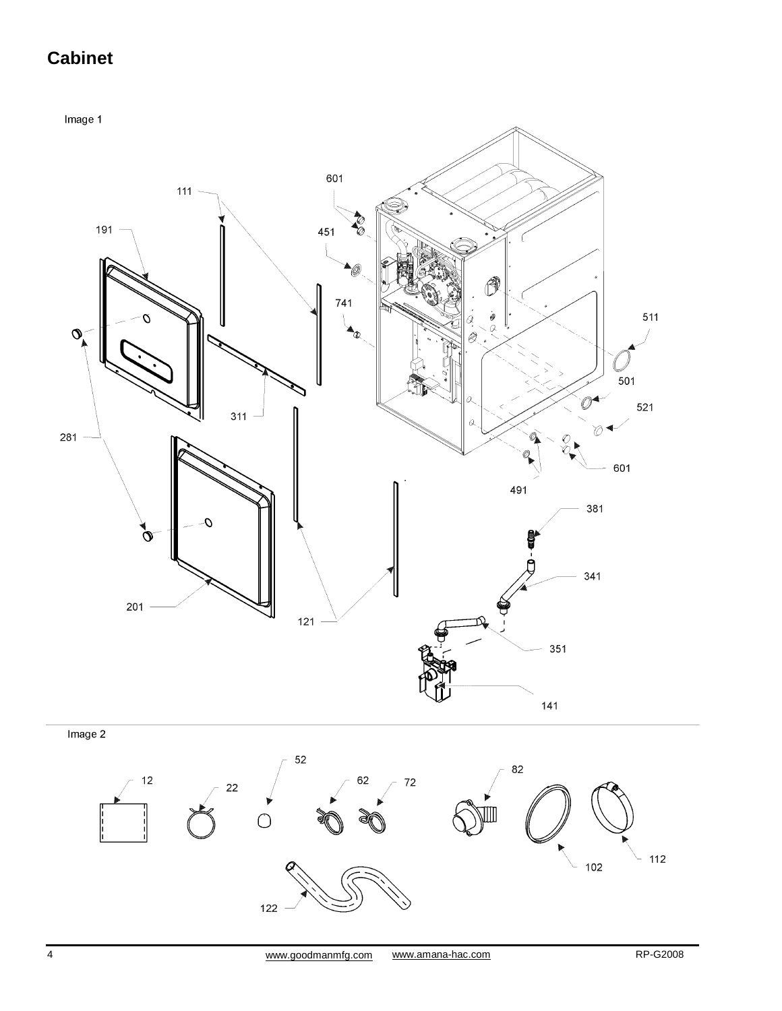# **Cabinet**

Image 1



122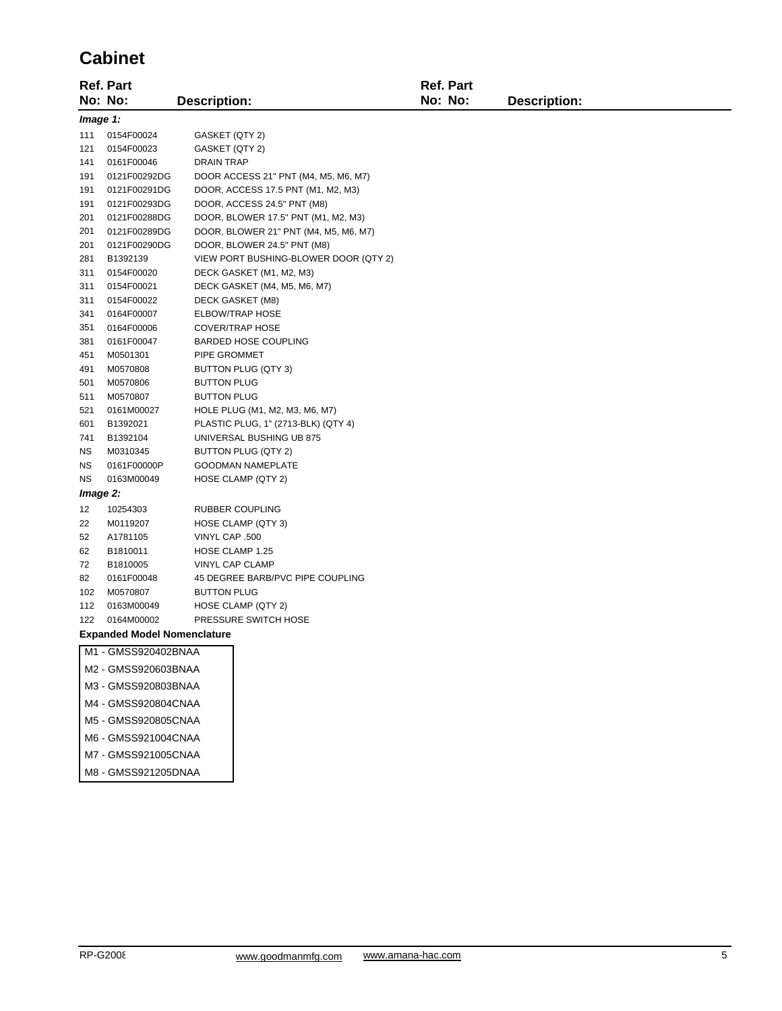## **Cabinet**

|                     | <b>Ref. Part</b>                   |                                       | Ref. Part |                     |  |  |
|---------------------|------------------------------------|---------------------------------------|-----------|---------------------|--|--|
|                     | No: No:                            | <b>Description:</b>                   | No: No:   | <b>Description:</b> |  |  |
|                     | Image 1:                           |                                       |           |                     |  |  |
| 111                 | 0154F00024                         | GASKET (QTY 2)                        |           |                     |  |  |
| 121                 | 0154F00023                         | GASKET (QTY 2)                        |           |                     |  |  |
| 141                 | 0161F00046                         | <b>DRAIN TRAP</b>                     |           |                     |  |  |
| 191                 | 0121F00292DG                       | DOOR ACCESS 21" PNT (M4, M5, M6, M7)  |           |                     |  |  |
| 191                 | 0121F00291DG                       | DOOR, ACCESS 17.5 PNT (M1, M2, M3)    |           |                     |  |  |
| 191                 | 0121F00293DG                       | DOOR, ACCESS 24.5" PNT (M8)           |           |                     |  |  |
| 201                 | 0121F00288DG                       | DOOR, BLOWER 17.5" PNT (M1, M2, M3)   |           |                     |  |  |
| 201                 | 0121F00289DG                       | DOOR, BLOWER 21" PNT (M4, M5, M6, M7) |           |                     |  |  |
| 201                 | 0121F00290DG                       | DOOR, BLOWER 24.5" PNT (M8)           |           |                     |  |  |
| 281                 | B1392139                           | VIEW PORT BUSHING-BLOWER DOOR (QTY 2) |           |                     |  |  |
| 311                 | 0154F00020                         | DECK GASKET (M1, M2, M3)              |           |                     |  |  |
| 311                 | 0154F00021                         | DECK GASKET (M4, M5, M6, M7)          |           |                     |  |  |
| 311                 | 0154F00022                         | DECK GASKET (M8)                      |           |                     |  |  |
| 341                 | 0164F00007                         | <b>ELBOW/TRAP HOSE</b>                |           |                     |  |  |
| 351                 | 0164F00006                         | <b>COVER/TRAP HOSE</b>                |           |                     |  |  |
| 381                 | 0161F00047                         | <b>BARDED HOSE COUPLING</b>           |           |                     |  |  |
| 451                 | M0501301                           | PIPE GROMMET                          |           |                     |  |  |
| 491                 | M0570808                           | BUTTON PLUG (QTY 3)                   |           |                     |  |  |
| 501                 | M0570806                           | <b>BUTTON PLUG</b>                    |           |                     |  |  |
| 511                 | M0570807                           | <b>BUTTON PLUG</b>                    |           |                     |  |  |
| 521                 | 0161M00027                         | HOLE PLUG (M1, M2, M3, M6, M7)        |           |                     |  |  |
| 601                 | B1392021                           | PLASTIC PLUG, 1" (2713-BLK) (QTY 4)   |           |                     |  |  |
| 741                 | B1392104                           | UNIVERSAL BUSHING UB 875              |           |                     |  |  |
| ΝS                  | M0310345                           | BUTTON PLUG (QTY 2)                   |           |                     |  |  |
| ΝS                  | 0161F00000P                        | <b>GOODMAN NAMEPLATE</b>              |           |                     |  |  |
| <b>NS</b>           | 0163M00049                         | HOSE CLAMP (QTY 2)                    |           |                     |  |  |
| Image 2:            |                                    |                                       |           |                     |  |  |
| 12                  | 10254303                           | RUBBER COUPLING                       |           |                     |  |  |
| 22                  | M0119207                           | HOSE CLAMP (QTY 3)                    |           |                     |  |  |
| 52                  | A1781105                           | VINYL CAP .500                        |           |                     |  |  |
| 62                  | B1810011                           | HOSE CLAMP 1.25                       |           |                     |  |  |
| 72                  | B1810005                           | VINYL CAP CLAMP                       |           |                     |  |  |
| 82                  | 0161F00048                         | 45 DEGREE BARB/PVC PIPE COUPLING      |           |                     |  |  |
| 102                 | M0570807                           | <b>BUTTON PLUG</b>                    |           |                     |  |  |
| 112                 | 0163M00049                         | HOSE CLAMP (QTY 2)                    |           |                     |  |  |
| 122                 | 0164M00002                         | PRESSURE SWITCH HOSE                  |           |                     |  |  |
|                     | <b>Expanded Model Nomenclature</b> |                                       |           |                     |  |  |
|                     | M1 - GMSS920402BNAA                |                                       |           |                     |  |  |
|                     | M2 - GMSS920603BNAA                |                                       |           |                     |  |  |
|                     | M3 - GMSS920803BNAA                |                                       |           |                     |  |  |
| M4 - GMSS920804CNAA |                                    |                                       |           |                     |  |  |
|                     | M5 - GMSS920805CNAA                |                                       |           |                     |  |  |
|                     | MC CMCCOOLOGACNIAA                 |                                       |           |                     |  |  |

- M6 GMSS921004CNAA
- M7 GMSS921005CNAA
- M8 GMSS921205DNAA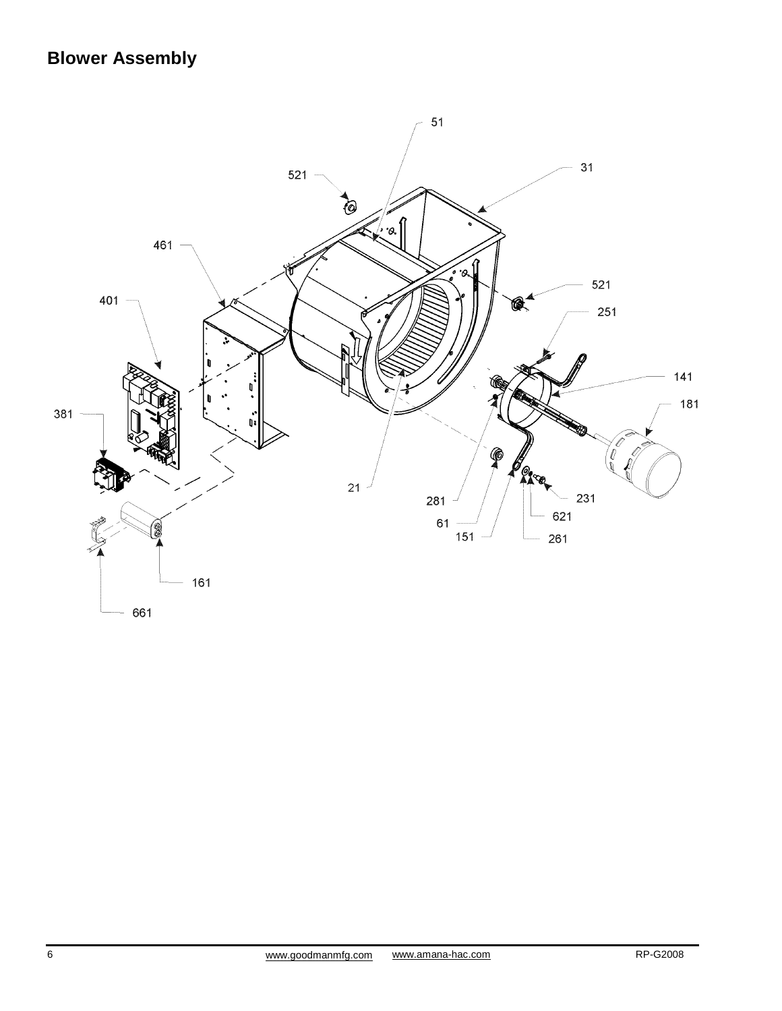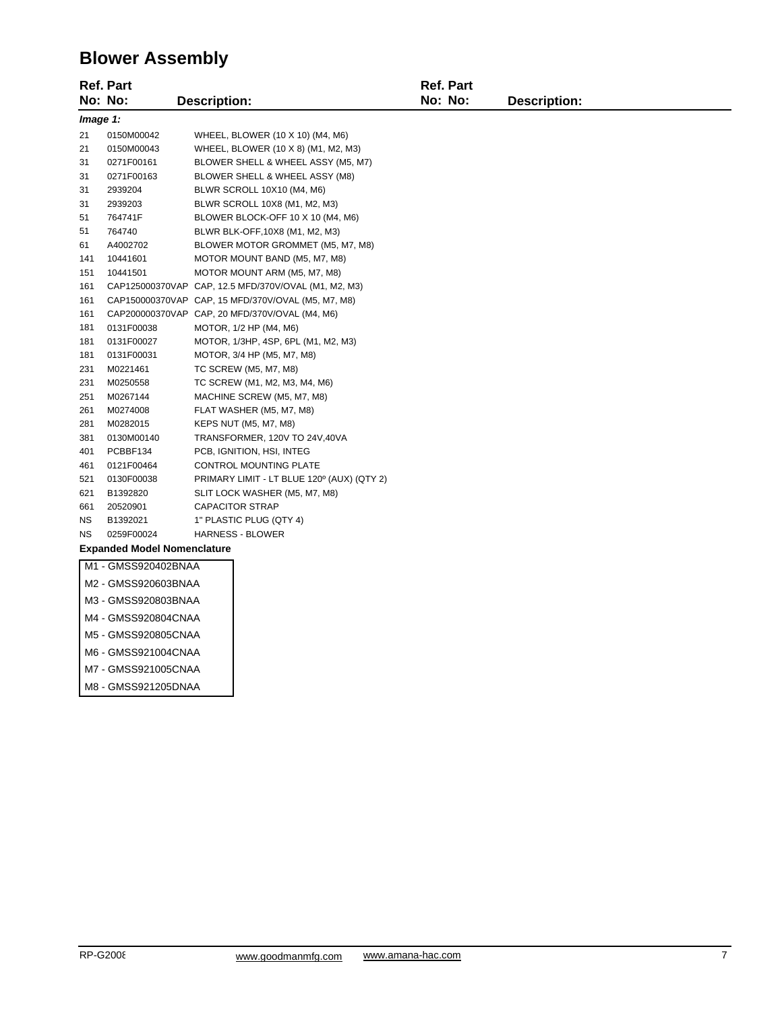## **Blower Assembly**

|                                    | <b>Ref. Part</b><br><b>Ref. Part</b> |                     |                                                      |         |                     |
|------------------------------------|--------------------------------------|---------------------|------------------------------------------------------|---------|---------------------|
|                                    | No: No:                              | <b>Description:</b> |                                                      | No: No: | <b>Description:</b> |
|                                    | Image 1:                             |                     |                                                      |         |                     |
| 21                                 | 0150M00042                           |                     | WHEEL, BLOWER (10 X 10) (M4, M6)                     |         |                     |
| 21                                 | 0150M00043                           |                     | WHEEL, BLOWER (10 X 8) (M1, M2, M3)                  |         |                     |
| 31                                 | 0271F00161                           |                     | BLOWER SHELL & WHEEL ASSY (M5, M7)                   |         |                     |
| 31                                 | 0271F00163                           |                     | BLOWER SHELL & WHEEL ASSY (M8)                       |         |                     |
| 31                                 | 2939204                              |                     | BLWR SCROLL 10X10 (M4, M6)                           |         |                     |
| 31                                 | 2939203                              |                     | BLWR SCROLL 10X8 (M1, M2, M3)                        |         |                     |
| 51                                 | 764741F                              |                     | BLOWER BLOCK-OFF 10 X 10 (M4, M6)                    |         |                     |
| 51                                 | 764740                               |                     | BLWR BLK-OFF, 10X8 (M1, M2, M3)                      |         |                     |
| 61                                 | A4002702                             |                     | BLOWER MOTOR GROMMET (M5, M7, M8)                    |         |                     |
| 141                                | 10441601                             |                     | MOTOR MOUNT BAND (M5, M7, M8)                        |         |                     |
| 151                                | 10441501                             |                     | MOTOR MOUNT ARM (M5, M7, M8)                         |         |                     |
| 161                                |                                      |                     | CAP125000370VAP CAP, 12.5 MFD/370V/OVAL (M1, M2, M3) |         |                     |
| 161                                |                                      |                     | CAP150000370VAP CAP, 15 MFD/370V/OVAL (M5, M7, M8)   |         |                     |
| 161                                |                                      |                     | CAP200000370VAP CAP, 20 MFD/370V/OVAL (M4, M6)       |         |                     |
| 181                                | 0131F00038                           |                     | MOTOR, 1/2 HP (M4, M6)                               |         |                     |
| 181                                | 0131F00027                           |                     | MOTOR, 1/3HP, 4SP, 6PL (M1, M2, M3)                  |         |                     |
| 181                                | 0131F00031                           |                     | MOTOR, 3/4 HP (M5, M7, M8)                           |         |                     |
| 231                                | M0221461                             |                     | TC SCREW (M5, M7, M8)                                |         |                     |
| 231                                | M0250558                             |                     | TC SCREW (M1, M2, M3, M4, M6)                        |         |                     |
| 251                                | M0267144                             |                     | MACHINE SCREW (M5, M7, M8)                           |         |                     |
| 261                                | M0274008                             |                     | FLAT WASHER (M5, M7, M8)                             |         |                     |
| 281                                | M0282015                             |                     | KEPS NUT (M5, M7, M8)                                |         |                     |
| 381                                | 0130M00140                           |                     | TRANSFORMER, 120V TO 24V,40VA                        |         |                     |
| 401                                | PCBBF134                             |                     | PCB, IGNITION, HSI, INTEG                            |         |                     |
| 461                                | 0121F00464                           |                     | CONTROL MOUNTING PLATE                               |         |                     |
| 521                                | 0130F00038                           |                     | PRIMARY LIMIT - LT BLUE 120° (AUX) (QTY 2)           |         |                     |
| 621                                | B1392820                             |                     | SLIT LOCK WASHER (M5, M7, M8)                        |         |                     |
| 661                                | 20520901                             |                     | <b>CAPACITOR STRAP</b>                               |         |                     |
| <b>NS</b>                          | B1392021                             |                     | 1" PLASTIC PLUG (QTY 4)                              |         |                     |
| <b>NS</b>                          | 0259F00024                           |                     | <b>HARNESS - BLOWER</b>                              |         |                     |
| <b>Expanded Model Nomenclature</b> |                                      |                     |                                                      |         |                     |
|                                    | M1 - GMSS920402BNAA                  |                     |                                                      |         |                     |
|                                    | M2 - GMSS920603BNAA                  |                     |                                                      |         |                     |
| M3 - GMSS920803BNAA                |                                      |                     |                                                      |         |                     |
| M4 - GMSS920804CNAA                |                                      |                     |                                                      |         |                     |

- M5 GMSS920805CNAA
- M6 GMSS921004CNAA
- M7 GMSS921005CNAA
- M8 GMSS921205DNAA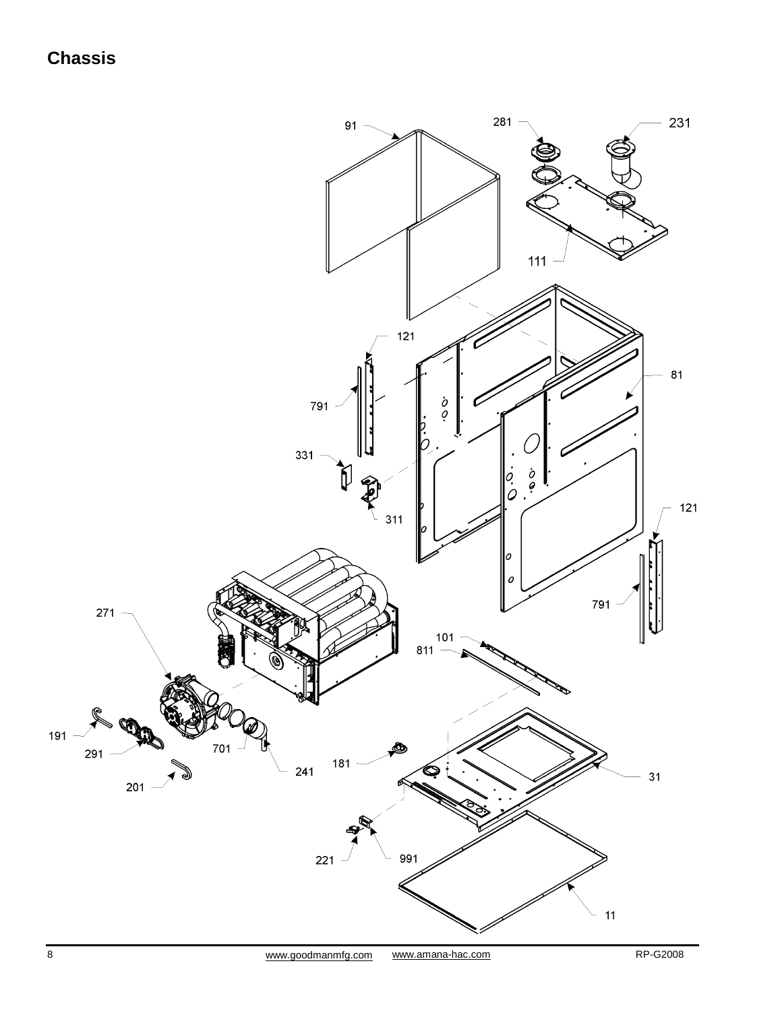## **Chassis**

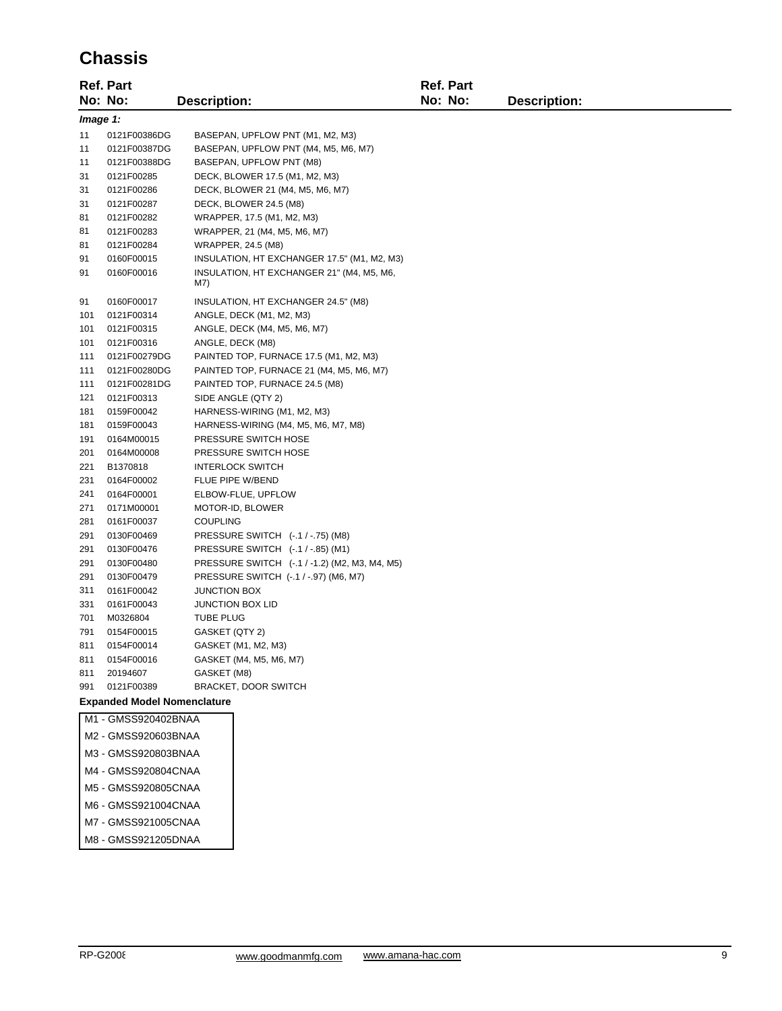## **Chassis**

|                                    | <b>Ref. Part</b>       |                                                  | <b>Ref. Part</b> |                     |  |
|------------------------------------|------------------------|--------------------------------------------------|------------------|---------------------|--|
|                                    | No: No:                | <b>Description:</b>                              | No: No:          | <b>Description:</b> |  |
| Image 1:                           |                        |                                                  |                  |                     |  |
| 11                                 | 0121F00386DG           | BASEPAN, UPFLOW PNT (M1, M2, M3)                 |                  |                     |  |
| 11                                 | 0121F00387DG           | BASEPAN, UPFLOW PNT (M4, M5, M6, M7)             |                  |                     |  |
| 11                                 | 0121F00388DG           | BASEPAN, UPFLOW PNT (M8)                         |                  |                     |  |
| 31                                 | 0121F00285             | DECK, BLOWER 17.5 (M1, M2, M3)                   |                  |                     |  |
| 31                                 | 0121F00286             | DECK, BLOWER 21 (M4, M5, M6, M7)                 |                  |                     |  |
| 31                                 | 0121F00287             | DECK, BLOWER 24.5 (M8)                           |                  |                     |  |
| 81                                 | 0121F00282             | WRAPPER, 17.5 (M1, M2, M3)                       |                  |                     |  |
| 81                                 | 0121F00283             | WRAPPER, 21 (M4, M5, M6, M7)                     |                  |                     |  |
| 81                                 | 0121F00284             | WRAPPER, 24.5 (M8)                               |                  |                     |  |
| 91                                 | 0160F00015             | INSULATION, HT EXCHANGER 17.5" (M1, M2, M3)      |                  |                     |  |
| 91                                 | 0160F00016             | INSULATION, HT EXCHANGER 21" (M4, M5, M6,<br>M7) |                  |                     |  |
| 91                                 | 0160F00017             | INSULATION, HT EXCHANGER 24.5" (M8)              |                  |                     |  |
| 101                                | 0121F00314             | ANGLE, DECK (M1, M2, M3)                         |                  |                     |  |
| 101                                | 0121F00315             | ANGLE, DECK (M4, M5, M6, M7)                     |                  |                     |  |
| 101                                | 0121F00316             | ANGLE, DECK (M8)                                 |                  |                     |  |
| 111                                | 0121F00279DG           | PAINTED TOP, FURNACE 17.5 (M1, M2, M3)           |                  |                     |  |
| 111                                | 0121F00280DG           | PAINTED TOP, FURNACE 21 (M4, M5, M6, M7)         |                  |                     |  |
| 111                                | 0121F00281DG           | PAINTED TOP, FURNACE 24.5 (M8)                   |                  |                     |  |
| 121                                | 0121F00313             | SIDE ANGLE (QTY 2)                               |                  |                     |  |
| 181                                | 0159F00042             | HARNESS-WIRING (M1, M2, M3)                      |                  |                     |  |
| 181                                | 0159F00043             | HARNESS-WIRING (M4, M5, M6, M7, M8)              |                  |                     |  |
| 191                                | 0164M00015             | PRESSURE SWITCH HOSE                             |                  |                     |  |
| 201<br>221                         | 0164M00008<br>B1370818 | PRESSURE SWITCH HOSE<br><b>INTERLOCK SWITCH</b>  |                  |                     |  |
| 231                                | 0164F00002             | FLUE PIPE W/BEND                                 |                  |                     |  |
| 241                                | 0164F00001             | ELBOW-FLUE, UPFLOW                               |                  |                     |  |
| 271                                | 0171M00001             | MOTOR-ID, BLOWER                                 |                  |                     |  |
| 281                                | 0161F00037             | COUPLING                                         |                  |                     |  |
| 291                                | 0130F00469             | PRESSURE SWITCH (-.1 / -.75) (M8)                |                  |                     |  |
| 291                                | 0130F00476             | PRESSURE SWITCH (-.1 / -.85) (M1)                |                  |                     |  |
| 291                                | 0130F00480             | PRESSURE SWITCH (-.1 / -1.2) (M2, M3, M4, M5)    |                  |                     |  |
| 291                                | 0130F00479             | PRESSURE SWITCH (-.1 / -.97) (M6, M7)            |                  |                     |  |
| 311                                | 0161F00042             | <b>JUNCTION BOX</b>                              |                  |                     |  |
| 331                                | 0161F00043             | JUNCTION BOX LID                                 |                  |                     |  |
| 701                                | M0326804               | <b>TUBE PLUG</b>                                 |                  |                     |  |
| 791                                | 0154F00015             | GASKET (QTY 2)                                   |                  |                     |  |
| 811                                | 0154F00014             | GASKET (M1, M2, M3)                              |                  |                     |  |
| 811                                | 0154F00016             | GASKET (M4, M5, M6, M7)                          |                  |                     |  |
| 811                                | 20194607               | GASKET (M8)                                      |                  |                     |  |
| 991                                | 0121F00389             | <b>BRACKET, DOOR SWITCH</b>                      |                  |                     |  |
| <b>Expanded Model Nomenclature</b> |                        |                                                  |                  |                     |  |
|                                    | M1 - GMSS920402BNAA    |                                                  |                  |                     |  |
|                                    | M2 - GMSS920603BNAA    |                                                  |                  |                     |  |
|                                    | M3 - GMSS920803BNAA    |                                                  |                  |                     |  |
| M4 - GMSS920804CNAA                |                        |                                                  |                  |                     |  |
|                                    | M5 - GMSS920805CNAA    |                                                  |                  |                     |  |
|                                    | M6 - GMSS921004CNAA    |                                                  |                  |                     |  |
|                                    | M7 - GMSS921005CNAA    |                                                  |                  |                     |  |
|                                    | M8 - GMSS921205DNAA    |                                                  |                  |                     |  |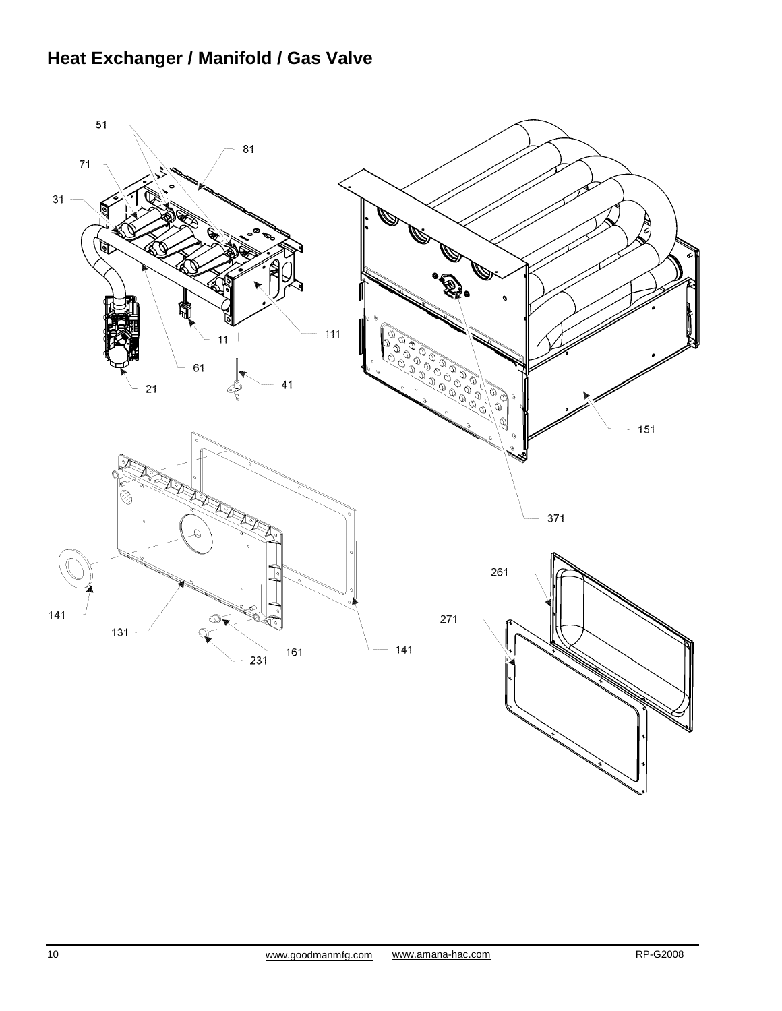# **Heat Exchanger / Manifold / Gas Valve**